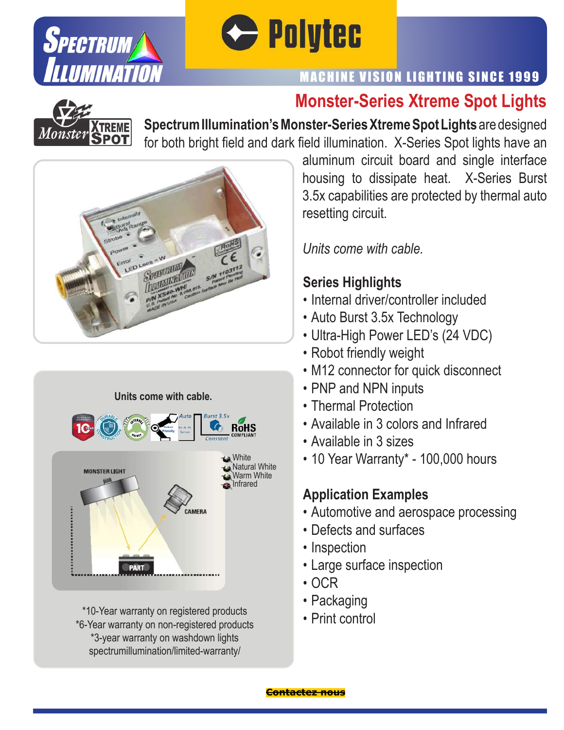



## **Monster-Series Xtreme Spot Lights**



**SpectrumIllumination's Monster-SeriesXtremeSpot Lights** are designed for both bright field and dark field illumination. X-Series Spot lights have an





\*10-Year warranty on registered products \*6-Year warranty on non-registered products \*3-year warranty on washdown lights spectrumillumination/limited-warranty/

aluminum circuit board and single interface housing to dissipate heat. X-Series Burst 3.5x capabilities are protected by thermal auto resetting circuit.

*Units come with cable.*

### **Series Highlights**

- Internal driver/controller included
- Auto Burst 3.5x Technology
- Ultra-High Power LED's (24 VDC)
- Robot friendly weight
- M12 connector for quick disconnect
- PNP and NPN inputs
- Thermal Protection
- Available in 3 colors and Infrared
- Available in 3 sizes
- 10 Year Warranty\* 100,000 hours

- Automotive and aerospace processing
- Defects and surfaces
- Inspection
- Large surface inspection
- OCR
- Packaging
- Print control

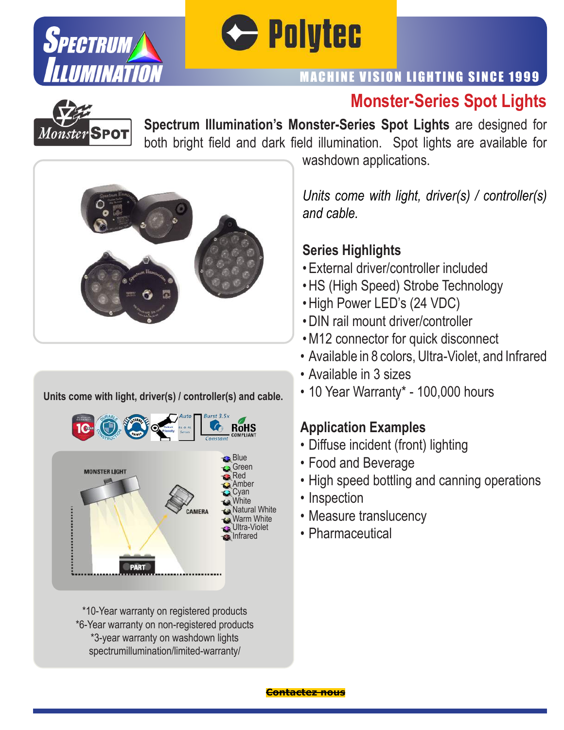



## **Monster-Series Spot Lights**



**Spectrum Illumination's Monster-Series Spot Lights** are designed for both bright field and dark field illumination. Spot lights are available for



#### **Units come with light, driver(s) / controller(s) and cable.**



\*10-Year warranty on registered products \*6-Year warranty on non-registered products \*3-year warranty on washdown lights spectrumillumination/limited-warranty/

washdown applications.

*Units come with light, driver(s) / controller(s) and cable.*

#### **Series Highlights**

- External driver/controller included
- HS (High Speed) Strobe Technology
- High Power LED's (24 VDC)
- DIN rail mount driver/controller
- M12 connector for quick disconnect
- Available in 8 colors, Ultra-Violet, and Infrared
- Available in 3 sizes
- 10 Year Warranty\* 100,000 hours

- Diffuse incident (front) lighting
- Food and Beverage
- High speed bottling and canning operations
- Inspection
- Measure translucency
- Pharmaceutical

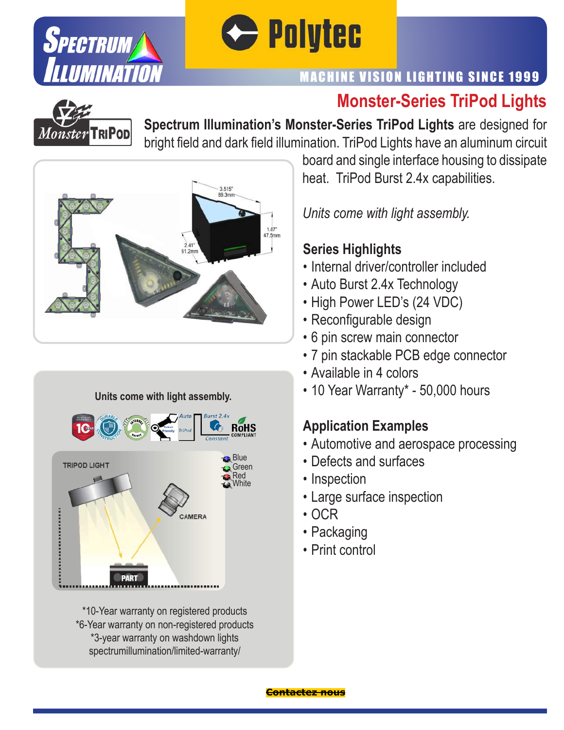



## **Monster-Series TriPod Lights**



**Spectrum Illumination's Monster-Series TriPod Lights** are designed for bright field and dark field illumination. TriPod Lights have an aluminum circuit







\*10-Year warranty on registered products \*6-Year warranty on non-registered products \*3-year warranty on washdown lights spectrumillumination/limited-warranty/

board and single interface housing to dissipate heat. TriPod Burst 2.4x capabilities.

*Units come with light assembly.*

#### **Series Highlights**

- Internal driver/controller included
- Auto Burst 2.4x Technology
- High Power LED's (24 VDC)
- Reconfigurable design
- 6 pin screw main connector
- 7 pin stackable PCB edge connector
- Available in 4 colors
- 10 Year Warranty\* 50,000 hours

- Automotive and aerospace processing
- Defects and surfaces
- Inspection
- Large surface inspection
- OCR
- Packaging
- Print control